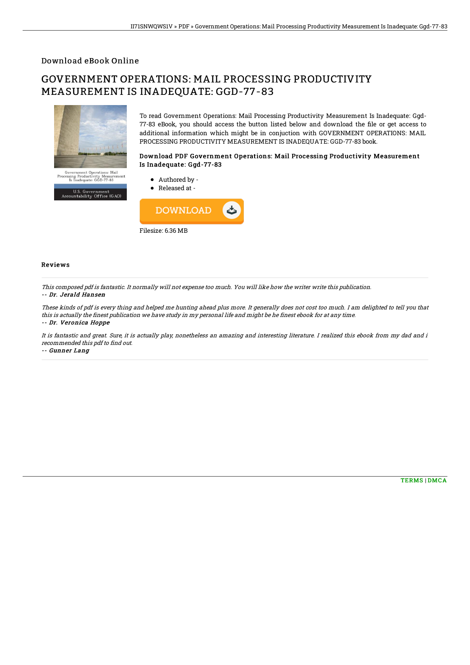### Download eBook Online

# GOVERNMENT OPERATIONS: MAIL PROCESSING PRODUCTIVITY MEASUREMENT IS INADEQUATE: GGD-77-83



To read Government Operations: Mail Processing Productivity Measurement Is Inadequate: Ggd-77-83 eBook, you should access the button listed below and download the file or get access to additional information which might be in conjuction with GOVERNMENT OPERATIONS: MAIL PROCESSING PRODUCTIVITY MEASUREMENT IS INADEQUATE: GGD-77-83 book.

#### Download PDF Government Operations: Mail Processing Productivity Measurement Is Inadequate: Ggd-77-83



#### Reviews

This composed pdf is fantastic. It normally will not expense too much. You will like how the writer write this publication. -- Dr. Jerald Hansen

These kinds of pdf is every thing and helped me hunting ahead plus more. It generally does not cost too much. I am delighted to tell you that this is actually the finest publication we have study in my personal life and might be he finest ebook for at any time. -- Dr. Veronica Hoppe

It is fantastic and great. Sure, it is actually play, nonetheless an amazing and interesting literature. I realized this ebook from my dad and i recommended this pdf to find out.

-- Gunner Lang